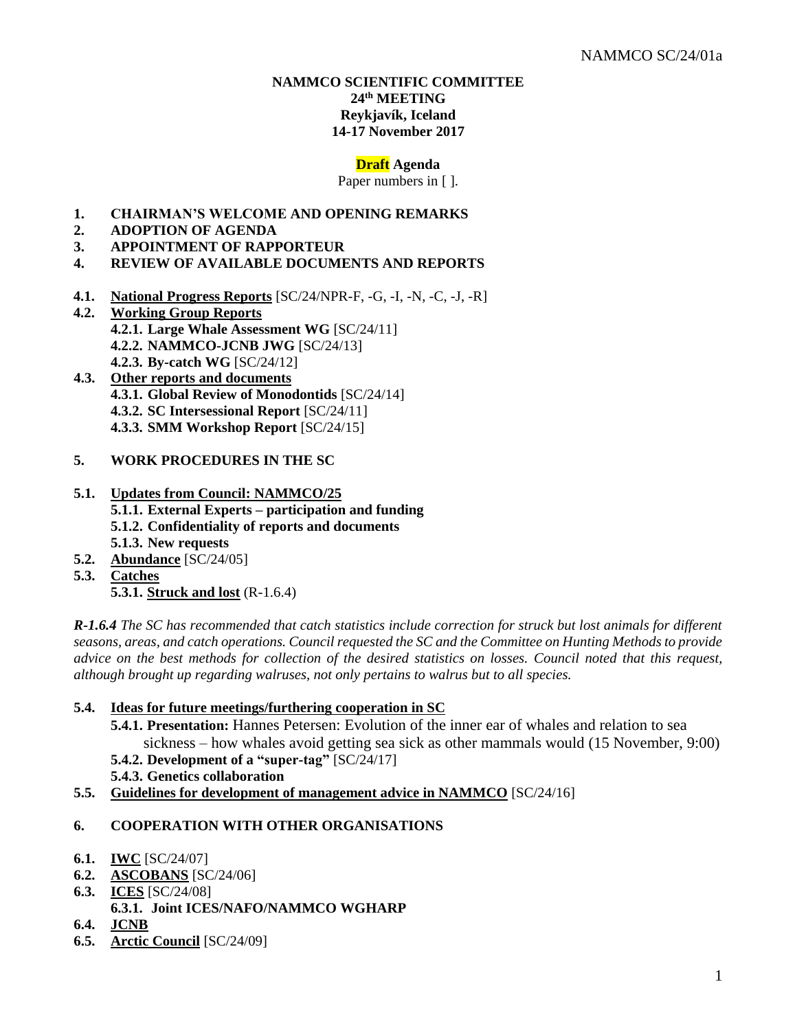### **NAMMCO SCIENTIFIC COMMITTEE 24 th MEETING Reykjavík, Iceland 14-17 November 2017**

### **Draft Agenda**

Paper numbers in [ ].

- **1. CHAIRMAN'S WELCOME AND OPENING REMARKS**
- **2. ADOPTION OF AGENDA**
- **3. APPOINTMENT OF RAPPORTEUR**
- **4. REVIEW OF AVAILABLE DOCUMENTS AND REPORTS**
- **4.1. National Progress Reports** [SC/24/NPR-F, -G, -I, -N, -C, -J, -R]
- **4.2. Working Group Reports 4.2.1. Large Whale Assessment WG** [SC/24/11] **4.2.2. NAMMCO-JCNB JWG** [SC/24/13] **4.2.3. By-catch WG** [SC/24/12]
- **4.3. Other reports and documents 4.3.1. Global Review of Monodontids** [SC/24/14] **4.3.2. SC Intersessional Report** [SC/24/11] **4.3.3. SMM Workshop Report** [SC/24/15]
- **5. WORK PROCEDURES IN THE SC**
- **5.1. Updates from Council: NAMMCO/25 5.1.1. External Experts – participation and funding 5.1.2. Confidentiality of reports and documents 5.1.3. New requests**
- **5.2. Abundance** [SC/24/05]
- **5.3. Catches**
	- **5.3.1. Struck and lost** (R-1.6.4)

*R-1.6.4 The SC has recommended that catch statistics include correction for struck but lost animals for different seasons, areas, and catch operations. Council requested the SC and the Committee on Hunting Methods to provide advice on the best methods for collection of the desired statistics on losses. Council noted that this request, although brought up regarding walruses, not only pertains to walrus but to all species.* 

- **5.4. Ideas for future meetings/furthering cooperation in SC**
	- **5.4.1. Presentation:** Hannes Petersen: Evolution of the inner ear of whales and relation to sea sickness – how whales avoid getting sea sick as other mammals would (15 November, 9:00)
	- **5.4.2. Development of a "super-tag"** [SC/24/17]
	- **5.4.3. Genetics collaboration**
- **5.5. Guidelines for development of management advice in NAMMCO** [SC/24/16]

## **6. COOPERATION WITH OTHER ORGANISATIONS**

- **6.1. IWC** [SC/24/07]
- **6.2. ASCOBANS** [SC/24/06]
- **6.3. ICES** [SC/24/08]
	- **6.3.1. Joint ICES/NAFO/NAMMCO WGHARP**
- **6.4. JCNB**
- **6.5. Arctic Council** [SC/24/09]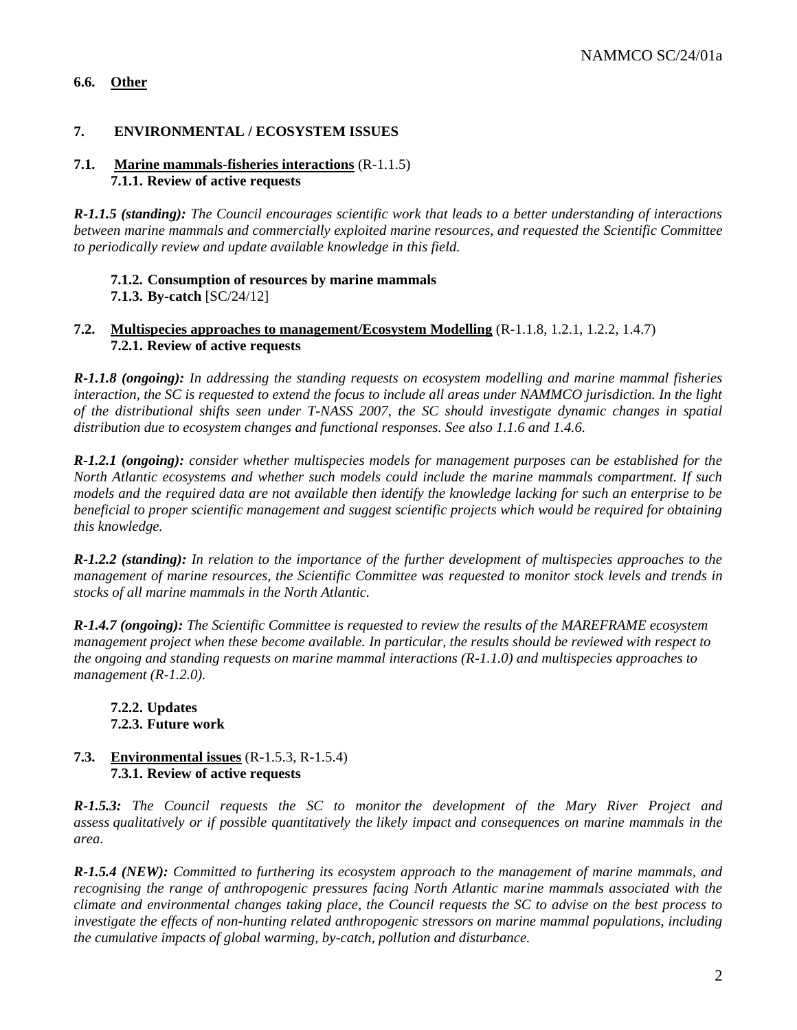# **6.6. Other**

# **7. ENVIRONMENTAL / ECOSYSTEM ISSUES**

### **7.1. Marine mammals-fisheries interactions** (R-1.1.5) **7.1.1. Review of active requests**

*R-1.1.5 (standing): The Council encourages scientific work that leads to a better understanding of interactions between marine mammals and commercially exploited marine resources, and requested the Scientific Committee to periodically review and update available knowledge in this field.*

# **7.1.2. Consumption of resources by marine mammals**

**7.1.3. By-catch** [SC/24/12]

### **7.2. Multispecies approaches to management/Ecosystem Modelling** (R-1.1.8, 1.2.1, 1.2.2, 1.4.7) **7.2.1. Review of active requests**

*R-1.1.8 (ongoing): In addressing the standing requests on ecosystem modelling and marine mammal fisheries interaction, the SC is requested to extend the focus to include all areas under NAMMCO jurisdiction. In the light of the distributional shifts seen under T-NASS 2007, the SC should investigate dynamic changes in spatial distribution due to ecosystem changes and functional responses. See also 1.1.6 and 1.4.6.*

*R-1.2.1 (ongoing): consider whether multispecies models for management purposes can be established for the North Atlantic ecosystems and whether such models could include the marine mammals compartment. If such models and the required data are not available then identify the knowledge lacking for such an enterprise to be beneficial to proper scientific management and suggest scientific projects which would be required for obtaining this knowledge.*

*R-1.2.2 (standing): In relation to the importance of the further development of multispecies approaches to the management of marine resources, the Scientific Committee was requested to monitor stock levels and trends in stocks of all marine mammals in the North Atlantic.*

*R-1.4.7 (ongoing): The Scientific Committee is requested to review the results of the MAREFRAME ecosystem management project when these become available. In particular, the results should be reviewed with respect to the ongoing and standing requests on marine mammal interactions (R-1.1.0) and multispecies approaches to management (R-1.2.0).*

# **7.2.2. Updates 7.2.3. Future work**

# **7.3. Environmental issues** (R-1.5.3, R-1.5.4) **7.3.1. Review of active requests**

*R-1.5.3: The Council requests the SC to monitor the development of the Mary River Project and assess qualitatively or if possible quantitatively the likely impact and consequences on marine mammals in the area.*

*R-1.5.4 (NEW): Committed to furthering its ecosystem approach to the management of marine mammals, and recognising the range of anthropogenic pressures facing North Atlantic marine mammals associated with the climate and environmental changes taking place, the Council requests the SC to advise on the best process to investigate the effects of non-hunting related anthropogenic stressors on marine mammal populations, including the cumulative impacts of global warming, by-catch, pollution and disturbance.*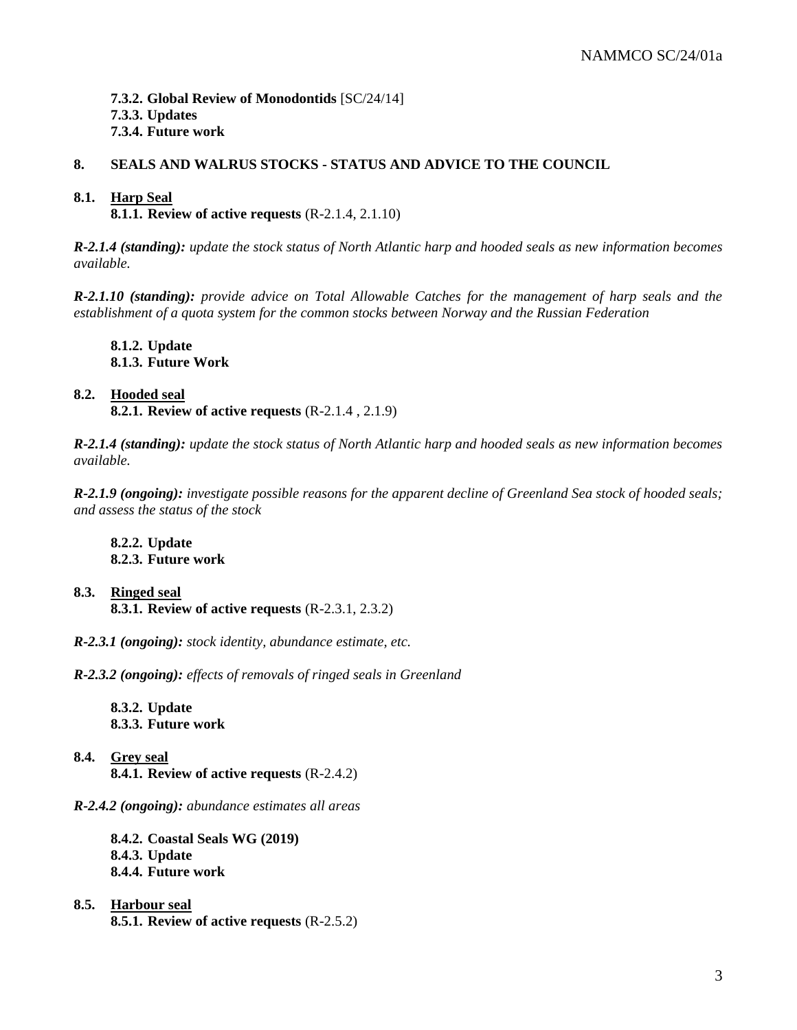# NAMMCO SC/24/01a

**7.3.2. Global Review of Monodontids** [SC/24/14] **7.3.3. Updates 7.3.4. Future work**

# **8. SEALS AND WALRUS STOCKS - STATUS AND ADVICE TO THE COUNCIL**

### **8.1. Harp Seal**

**8.1.1. Review of active requests** (R-2.1.4, 2.1.10)

*R-2.1.4 (standing): update the stock status of North Atlantic harp and hooded seals as new information becomes available.*

*R-2.1.10 (standing): provide advice on Total Allowable Catches for the management of harp seals and the establishment of a quota system for the common stocks between Norway and the Russian Federation*

**8.1.2. Update 8.1.3. Future Work**

# **8.2. Hooded seal**

**8.2.1. Review of active requests** (R-2.1.4 , 2.1.9)

*R-2.1.4 (standing): update the stock status of North Atlantic harp and hooded seals as new information becomes available.*

*R-2.1.9 (ongoing): investigate possible reasons for the apparent decline of Greenland Sea stock of hooded seals; and assess the status of the stock*

**8.2.2. Update 8.2.3. Future work**

- **8.3. Ringed seal 8.3.1. Review of active requests** (R-2.3.1, 2.3.2)
- *R-2.3.1 (ongoing): stock identity, abundance estimate, etc.*

*R-2.3.2 (ongoing): effects of removals of ringed seals in Greenland*

**8.3.2. Update 8.3.3. Future work**

**8.4. Grey seal 8.4.1. Review of active requests** (R-2.4.2)

### *R-2.4.2 (ongoing): abundance estimates all areas*

**8.4.2. Coastal Seals WG (2019) 8.4.3. Update 8.4.4. Future work**

**8.5. Harbour seal 8.5.1. Review of active requests** (R-2.5.2)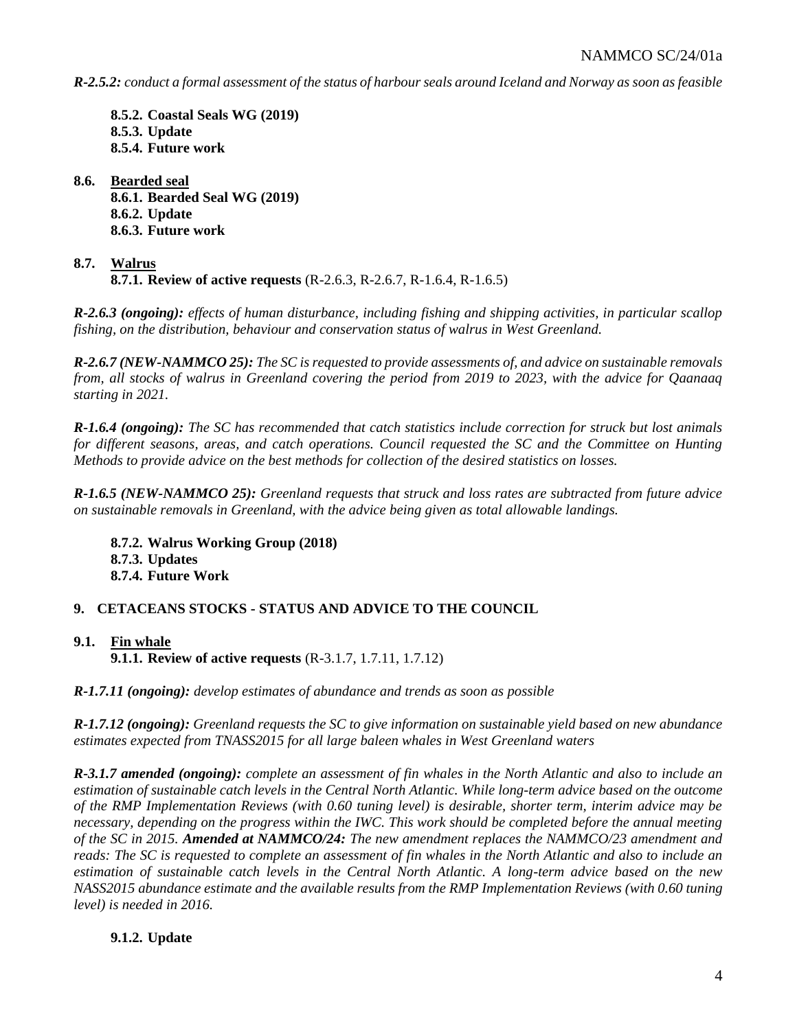*R-2.5.2: conduct a formal assessment of the status of harbour seals around Iceland and Norway as soon as feasible*

**8.5.2. Coastal Seals WG (2019) 8.5.3. Update 8.5.4. Future work**

**8.6. Bearded seal 8.6.1. Bearded Seal WG (2019) 8.6.2. Update 8.6.3. Future work**

# **8.7. Walrus 8.7.1. Review of active requests** (R-2.6.3, R-2.6.7, R-1.6.4, R-1.6.5)

*R-2.6.3 (ongoing): effects of human disturbance, including fishing and shipping activities, in particular scallop fishing, on the distribution, behaviour and conservation status of walrus in West Greenland.*

*R-2.6.7 (NEW-NAMMCO 25): The SC is requested to provide assessments of, and advice on sustainable removals from, all stocks of walrus in Greenland covering the period from 2019 to 2023, with the advice for Qaanaaq starting in 2021.*

*R-1.6.4 (ongoing): The SC has recommended that catch statistics include correction for struck but lost animals for different seasons, areas, and catch operations. Council requested the SC and the Committee on Hunting Methods to provide advice on the best methods for collection of the desired statistics on losses.*

*R-1.6.5 (NEW-NAMMCO 25): Greenland requests that struck and loss rates are subtracted from future advice on sustainable removals in Greenland, with the advice being given as total allowable landings.*

**8.7.2. Walrus Working Group (2018) 8.7.3. Updates 8.7.4. Future Work**

# **9. CETACEANS STOCKS - STATUS AND ADVICE TO THE COUNCIL**

# **9.1. Fin whale 9.1.1. Review of active requests** (R-3.1.7, 1.7.11, 1.7.12)

*R-1.7.11 (ongoing): develop estimates of abundance and trends as soon as possible*

*R-1.7.12 (ongoing): Greenland requests the SC to give information on sustainable yield based on new abundance estimates expected from TNASS2015 for all large baleen whales in West Greenland waters*

*R-3.1.7 amended (ongoing): complete an assessment of fin whales in the North Atlantic and also to include an estimation of sustainable catch levels in the Central North Atlantic. While long-term advice based on the outcome of the RMP Implementation Reviews (with 0.60 tuning level) is desirable, shorter term, interim advice may be necessary, depending on the progress within the IWC. This work should be completed before the annual meeting of the SC in 2015. Amended at NAMMCO/24: The new amendment replaces the NAMMCO/23 amendment and reads: The SC is requested to complete an assessment of fin whales in the North Atlantic and also to include an estimation of sustainable catch levels in the Central North Atlantic. A long-term advice based on the new NASS2015 abundance estimate and the available results from the RMP Implementation Reviews (with 0.60 tuning level) is needed in 2016.*

# **9.1.2. Update**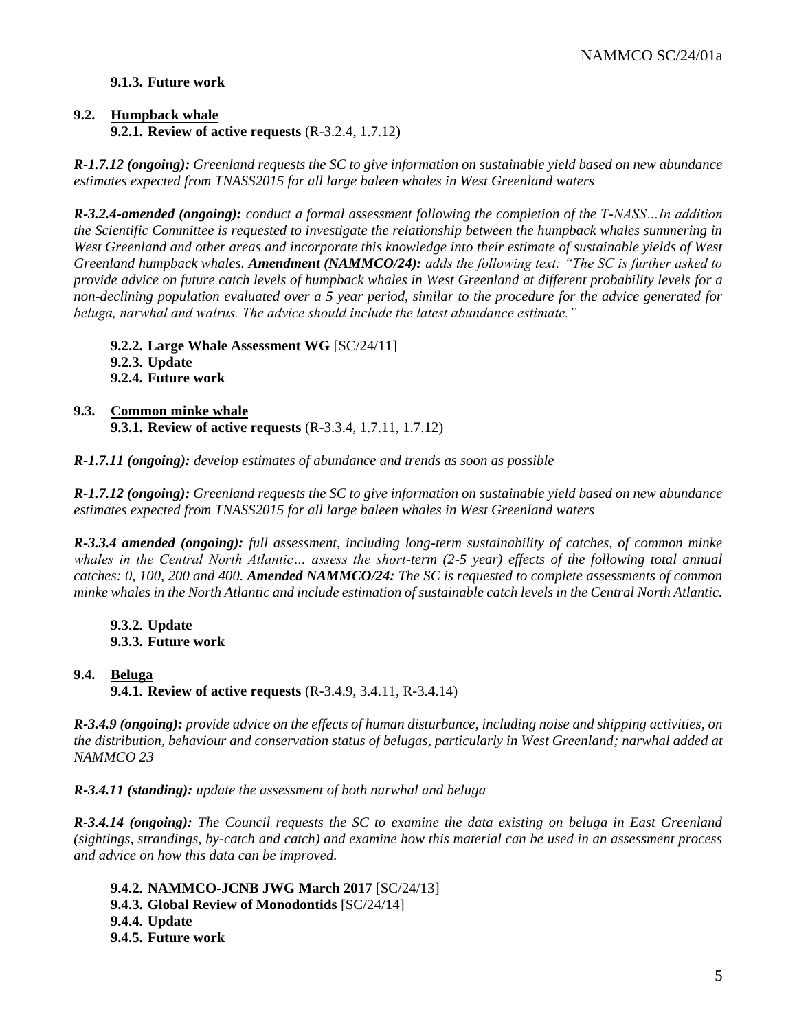# **9.1.3. Future work**

# **9.2. Humpback whale 9.2.1. Review of active requests** (R-3.2.4, 1.7.12)

*R-1.7.12 (ongoing): Greenland requests the SC to give information on sustainable yield based on new abundance estimates expected from TNASS2015 for all large baleen whales in West Greenland waters*

*R-3.2.4-amended (ongoing): conduct a formal assessment following the completion of the T-NASS…In addition the Scientific Committee is requested to investigate the relationship between the humpback whales summering in West Greenland and other areas and incorporate this knowledge into their estimate of sustainable yields of West Greenland humpback whales. Amendment (NAMMCO/24): adds the following text: "The SC is further asked to provide advice on future catch levels of humpback whales in West Greenland at different probability levels for a non-declining population evaluated over a 5 year period, similar to the procedure for the advice generated for beluga, narwhal and walrus. The advice should include the latest abundance estimate."*

**9.2.2. Large Whale Assessment WG** [SC/24/11] **9.2.3. Update 9.2.4. Future work**

### **9.3. Common minke whale 9.3.1. Review of active requests** (R-3.3.4, 1.7.11, 1.7.12)

*R-1.7.11 (ongoing): develop estimates of abundance and trends as soon as possible*

*R-1.7.12 (ongoing): Greenland requests the SC to give information on sustainable yield based on new abundance estimates expected from TNASS2015 for all large baleen whales in West Greenland waters*

*R-3.3.4 amended (ongoing): full assessment, including long-term sustainability of catches, of common minke whales in the Central North Atlantic… assess the short-term (2-5 year) effects of the following total annual catches: 0, 100, 200 and 400. Amended NAMMCO/24: The SC is requested to complete assessments of common minke whales in the North Atlantic and include estimation of sustainable catch levels in the Central North Atlantic.*

**9.3.2. Update 9.3.3. Future work**

**9.4. Beluga 9.4.1. Review of active requests** (R-3.4.9, 3.4.11, R-3.4.14)

*R-3.4.9 (ongoing): provide advice on the effects of human disturbance, including noise and shipping activities, on the distribution, behaviour and conservation status of belugas, particularly in West Greenland; narwhal added at NAMMCO 23*

*R-3.4.11 (standing): update the assessment of both narwhal and beluga*

*R-3.4.14 (ongoing): The Council requests the SC to examine the data existing on beluga in East Greenland (sightings, strandings, by-catch and catch) and examine how this material can be used in an assessment process and advice on how this data can be improved.*

**9.4.2. NAMMCO-JCNB JWG March 2017** [SC/24/13] **9.4.3. Global Review of Monodontids** [SC/24/14] **9.4.4. Update 9.4.5. Future work**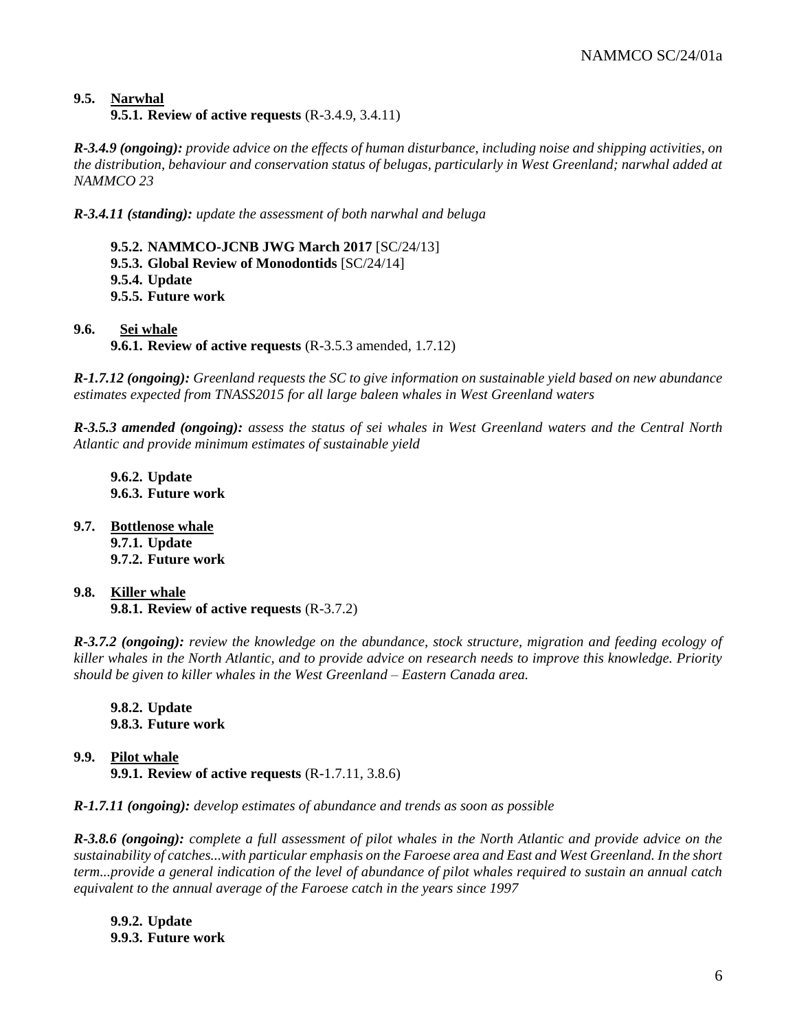# **9.5. Narwhal 9.5.1. Review of active requests** (R-3.4.9, 3.4.11)

*R-3.4.9 (ongoing): provide advice on the effects of human disturbance, including noise and shipping activities, on the distribution, behaviour and conservation status of belugas, particularly in West Greenland; narwhal added at NAMMCO 23*

*R-3.4.11 (standing): update the assessment of both narwhal and beluga*

**9.5.2. NAMMCO-JCNB JWG March 2017** [SC/24/13] **9.5.3. Global Review of Monodontids** [SC/24/14] **9.5.4. Update 9.5.5. Future work**

**9.6. Sei whale 9.6.1. Review of active requests** (R-3.5.3 amended, 1.7.12)

*R-1.7.12 (ongoing): Greenland requests the SC to give information on sustainable yield based on new abundance estimates expected from TNASS2015 for all large baleen whales in West Greenland waters*

*R-3.5.3 amended (ongoing): assess the status of sei whales in West Greenland waters and the Central North Atlantic and provide minimum estimates of sustainable yield*

**9.6.2. Update 9.6.3. Future work**

- **9.7. Bottlenose whale 9.7.1. Update 9.7.2. Future work**
- **9.8. Killer whale 9.8.1. Review of active requests** (R-3.7.2)

*R-3.7.2 (ongoing): review the knowledge on the abundance, stock structure, migration and feeding ecology of killer whales in the North Atlantic, and to provide advice on research needs to improve this knowledge. Priority should be given to killer whales in the West Greenland – Eastern Canada area.*

**9.8.2. Update 9.8.3. Future work**

**9.9. Pilot whale 9.9.1. Review of active requests** (R-1.7.11, 3.8.6)

*R-1.7.11 (ongoing): develop estimates of abundance and trends as soon as possible*

*R-3.8.6 (ongoing): complete a full assessment of pilot whales in the North Atlantic and provide advice on the sustainability of catches...with particular emphasis on the Faroese area and East and West Greenland. In the short term...provide a general indication of the level of abundance of pilot whales required to sustain an annual catch equivalent to the annual average of the Faroese catch in the years since 1997*

**9.9.2. Update 9.9.3. Future work**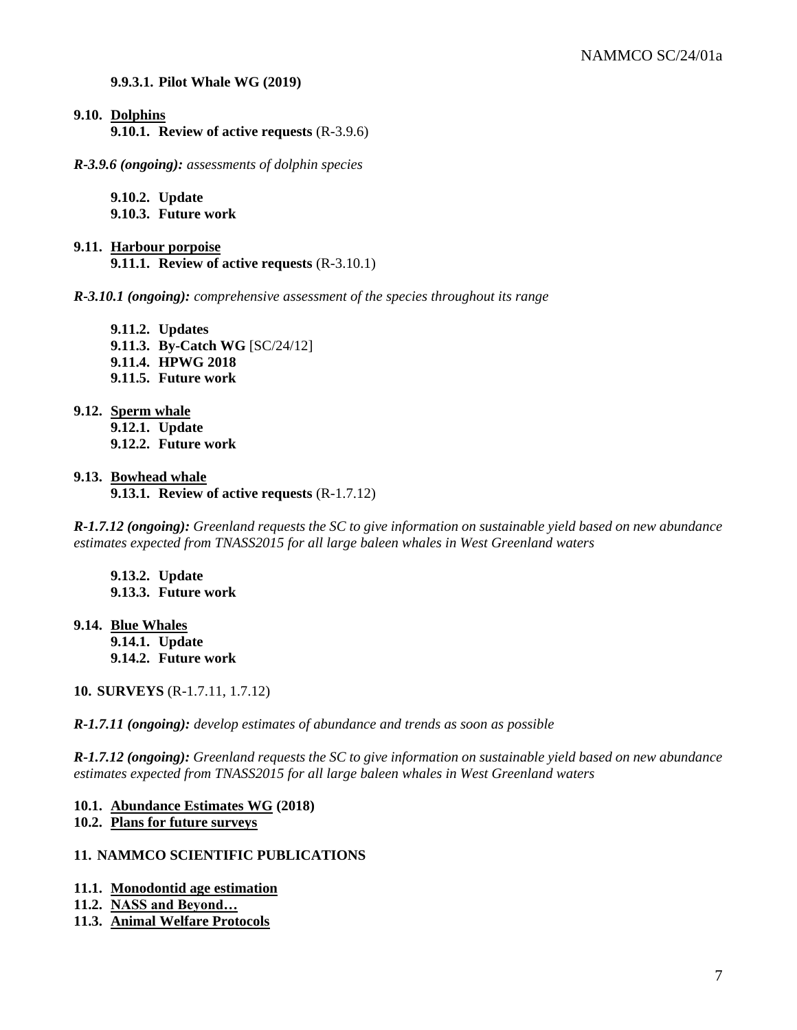#### **9.9.3.1. Pilot Whale WG (2019)**

**9.10. Dolphins**

**9.10.1. Review of active requests** (R-3.9.6)

*R-3.9.6 (ongoing): assessments of dolphin species*

**9.10.2. Update 9.10.3. Future work**

**9.11. Harbour porpoise 9.11.1. Review of active requests** (R-3.10.1)

*R-3.10.1 (ongoing): comprehensive assessment of the species throughout its range*

**9.11.2. Updates 9.11.3. By-Catch WG** [SC/24/12] **9.11.4. HPWG 2018 9.11.5. Future work**

**9.12. Sperm whale**

**9.12.1. Update 9.12.2. Future work**

#### **9.13. Bowhead whale**

**9.13.1. Review of active requests** (R-1.7.12)

*R-1.7.12 (ongoing): Greenland requests the SC to give information on sustainable yield based on new abundance estimates expected from TNASS2015 for all large baleen whales in West Greenland waters*

**9.13.2. Update 9.13.3. Future work**

**9.14. Blue Whales 9.14.1. Update 9.14.2. Future work**

**10. SURVEYS** (R-1.7.11, 1.7.12)

*R-1.7.11 (ongoing): develop estimates of abundance and trends as soon as possible*

*R-1.7.12 (ongoing): Greenland requests the SC to give information on sustainable yield based on new abundance estimates expected from TNASS2015 for all large baleen whales in West Greenland waters*

### **10.1. Abundance Estimates WG (2018)**

# **10.2. Plans for future surveys**

### **11. NAMMCO SCIENTIFIC PUBLICATIONS**

- **11.1. Monodontid age estimation**
- **11.2. NASS and Beyond…**
- **11.3. Animal Welfare Protocols**